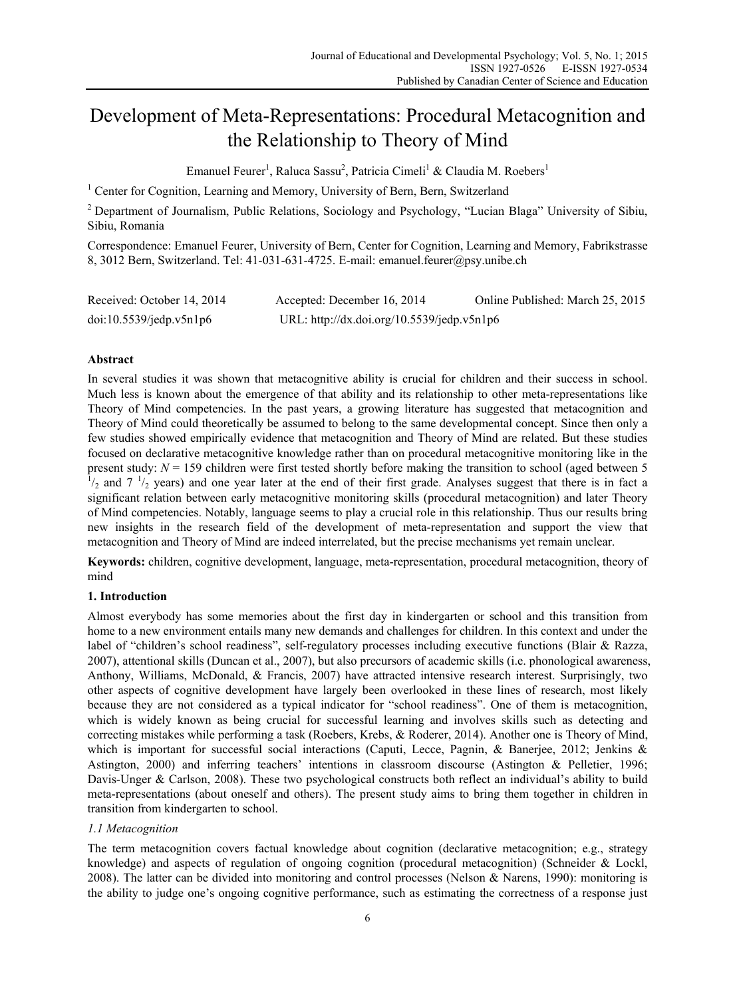# Development of Meta-Representations: Procedural Metacognition and the Relationship to Theory of Mind

Emanuel Feurer<sup>1</sup>, Raluca Sassu<sup>2</sup>, Patricia Cimeli<sup>1</sup> & Claudia M. Roebers<sup>1</sup>

<sup>1</sup> Center for Cognition, Learning and Memory, University of Bern, Bern, Switzerland

<sup>2</sup> Department of Journalism, Public Relations, Sociology and Psychology, "Lucian Blaga" University of Sibiu, Sibiu, Romania

Correspondence: Emanuel Feurer, University of Bern, Center for Cognition, Learning and Memory, Fabrikstrasse 8, 3012 Bern, Switzerland. Tel: 41-031-631-4725. E-mail: emanuel.feurer@psy.unibe.ch

| Received: October 14, 2014 | Accepted: December 16, 2014                | Online Published: March 25, 2015 |
|----------------------------|--------------------------------------------|----------------------------------|
| $doi:10.5539/j$ edp.v5n1p6 | URL: http://dx.doi.org/10.5539/jedp.v5n1p6 |                                  |

## **Abstract**

In several studies it was shown that metacognitive ability is crucial for children and their success in school. Much less is known about the emergence of that ability and its relationship to other meta-representations like Theory of Mind competencies. In the past years, a growing literature has suggested that metacognition and Theory of Mind could theoretically be assumed to belong to the same developmental concept. Since then only a few studies showed empirically evidence that metacognition and Theory of Mind are related. But these studies focused on declarative metacognitive knowledge rather than on procedural metacognitive monitoring like in the present study:  $N = 159$  children were first tested shortly before making the transition to school (aged between 5  $/2$  and  $7 \frac{1}{2}$  years) and one year later at the end of their first grade. Analyses suggest that there is in fact a significant relation between early metacognitive monitoring skills (procedural metacognition) and later Theory of Mind competencies. Notably, language seems to play a crucial role in this relationship. Thus our results bring new insights in the research field of the development of meta-representation and support the view that metacognition and Theory of Mind are indeed interrelated, but the precise mechanisms yet remain unclear.

**Keywords:** children, cognitive development, language, meta-representation, procedural metacognition, theory of mind

# **1. Introduction**

Almost everybody has some memories about the first day in kindergarten or school and this transition from home to a new environment entails many new demands and challenges for children. In this context and under the label of "children's school readiness", self-regulatory processes including executive functions (Blair & Razza, 2007), attentional skills (Duncan et al., 2007), but also precursors of academic skills (i.e. phonological awareness, Anthony, Williams, McDonald, & Francis, 2007) have attracted intensive research interest. Surprisingly, two other aspects of cognitive development have largely been overlooked in these lines of research, most likely because they are not considered as a typical indicator for "school readiness". One of them is metacognition, which is widely known as being crucial for successful learning and involves skills such as detecting and correcting mistakes while performing a task (Roebers, Krebs, & Roderer, 2014). Another one is Theory of Mind, which is important for successful social interactions (Caputi, Lecce, Pagnin, & Banerjee, 2012; Jenkins & Astington, 2000) and inferring teachers' intentions in classroom discourse (Astington & Pelletier, 1996; Davis-Unger & Carlson, 2008). These two psychological constructs both reflect an individual's ability to build meta-representations (about oneself and others). The present study aims to bring them together in children in transition from kindergarten to school.

## *1.1 Metacognition*

The term metacognition covers factual knowledge about cognition (declarative metacognition; e.g., strategy knowledge) and aspects of regulation of ongoing cognition (procedural metacognition) (Schneider & Lockl, 2008). The latter can be divided into monitoring and control processes (Nelson & Narens, 1990): monitoring is the ability to judge one's ongoing cognitive performance, such as estimating the correctness of a response just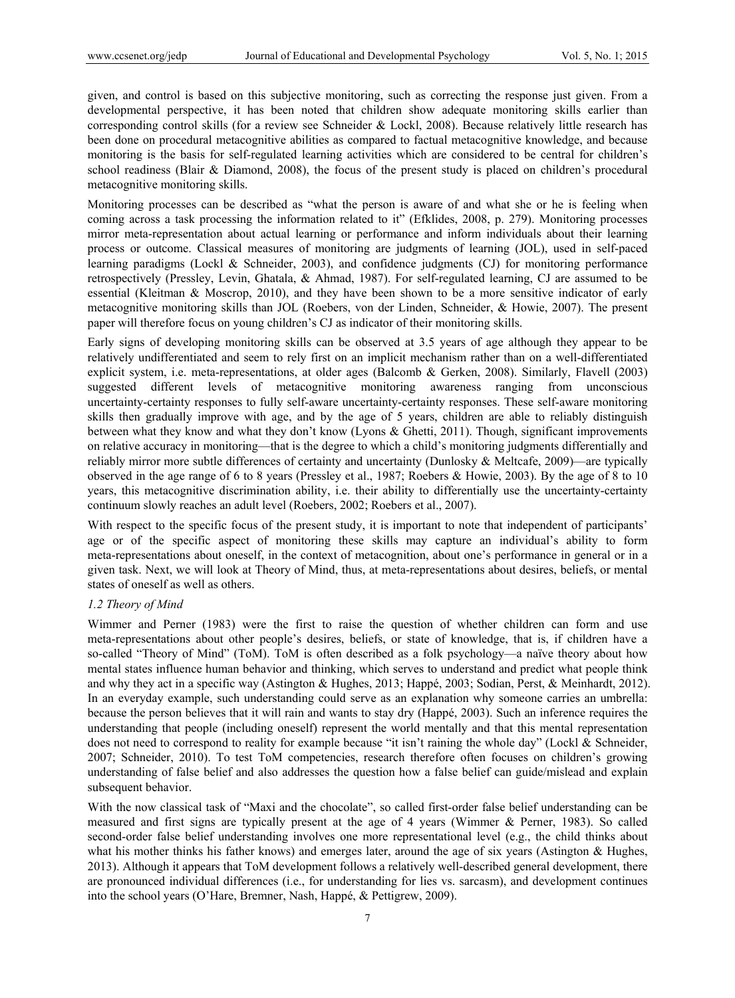given, and control is based on this subjective monitoring, such as correcting the response just given. From a developmental perspective, it has been noted that children show adequate monitoring skills earlier than corresponding control skills (for a review see Schneider & Lockl, 2008). Because relatively little research has been done on procedural metacognitive abilities as compared to factual metacognitive knowledge, and because monitoring is the basis for self-regulated learning activities which are considered to be central for children's school readiness (Blair & Diamond, 2008), the focus of the present study is placed on children's procedural metacognitive monitoring skills.

Monitoring processes can be described as "what the person is aware of and what she or he is feeling when coming across a task processing the information related to it" (Efklides, 2008, p. 279). Monitoring processes mirror meta-representation about actual learning or performance and inform individuals about their learning process or outcome. Classical measures of monitoring are judgments of learning (JOL), used in self-paced learning paradigms (Lockl & Schneider, 2003), and confidence judgments (CJ) for monitoring performance retrospectively (Pressley, Levin, Ghatala, & Ahmad, 1987). For self-regulated learning, CJ are assumed to be essential (Kleitman & Moscrop, 2010), and they have been shown to be a more sensitive indicator of early metacognitive monitoring skills than JOL (Roebers, von der Linden, Schneider, & Howie, 2007). The present paper will therefore focus on young children's CJ as indicator of their monitoring skills.

Early signs of developing monitoring skills can be observed at 3.5 years of age although they appear to be relatively undifferentiated and seem to rely first on an implicit mechanism rather than on a well-differentiated explicit system, i.e. meta-representations, at older ages (Balcomb & Gerken, 2008). Similarly, Flavell (2003) suggested different levels of metacognitive monitoring awareness ranging from unconscious uncertainty-certainty responses to fully self-aware uncertainty-certainty responses. These self-aware monitoring skills then gradually improve with age, and by the age of 5 years, children are able to reliably distinguish between what they know and what they don't know (Lyons & Ghetti, 2011). Though, significant improvements on relative accuracy in monitoring—that is the degree to which a child's monitoring judgments differentially and reliably mirror more subtle differences of certainty and uncertainty (Dunlosky & Meltcafe, 2009)—are typically observed in the age range of 6 to 8 years (Pressley et al., 1987; Roebers & Howie, 2003). By the age of 8 to 10 years, this metacognitive discrimination ability, i.e. their ability to differentially use the uncertainty-certainty continuum slowly reaches an adult level (Roebers, 2002; Roebers et al., 2007).

With respect to the specific focus of the present study, it is important to note that independent of participants' age or of the specific aspect of monitoring these skills may capture an individual's ability to form meta-representations about oneself, in the context of metacognition, about one's performance in general or in a given task. Next, we will look at Theory of Mind, thus, at meta-representations about desires, beliefs, or mental states of oneself as well as others.

## *1.2 Theory of Mind*

Wimmer and Perner (1983) were the first to raise the question of whether children can form and use meta-representations about other people's desires, beliefs, or state of knowledge, that is, if children have a so-called "Theory of Mind" (ToM). ToM is often described as a folk psychology—a naïve theory about how mental states influence human behavior and thinking, which serves to understand and predict what people think and why they act in a specific way (Astington & Hughes, 2013; Happé, 2003; Sodian, Perst, & Meinhardt, 2012). In an everyday example, such understanding could serve as an explanation why someone carries an umbrella: because the person believes that it will rain and wants to stay dry (Happé, 2003). Such an inference requires the understanding that people (including oneself) represent the world mentally and that this mental representation does not need to correspond to reality for example because "it isn't raining the whole day" (Lockl & Schneider, 2007; Schneider, 2010). To test ToM competencies, research therefore often focuses on children's growing understanding of false belief and also addresses the question how a false belief can guide/mislead and explain subsequent behavior.

With the now classical task of "Maxi and the chocolate", so called first-order false belief understanding can be measured and first signs are typically present at the age of 4 years (Wimmer & Perner, 1983). So called second-order false belief understanding involves one more representational level (e.g., the child thinks about what his mother thinks his father knows) and emerges later, around the age of six years (Astington & Hughes, 2013). Although it appears that ToM development follows a relatively well-described general development, there are pronounced individual differences (i.e., for understanding for lies vs. sarcasm), and development continues into the school years (O'Hare, Bremner, Nash, Happé, & Pettigrew, 2009).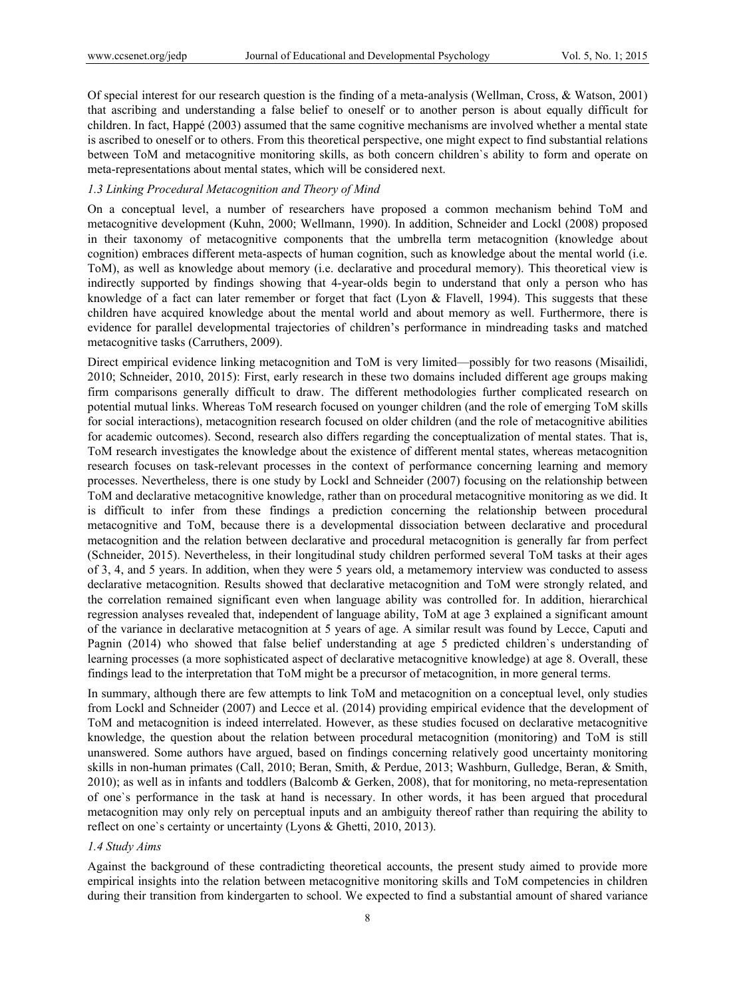Of special interest for our research question is the finding of a meta-analysis (Wellman, Cross, & Watson, 2001) that ascribing and understanding a false belief to oneself or to another person is about equally difficult for children. In fact, Happé (2003) assumed that the same cognitive mechanisms are involved whether a mental state is ascribed to oneself or to others. From this theoretical perspective, one might expect to find substantial relations between ToM and metacognitive monitoring skills, as both concern children`s ability to form and operate on meta-representations about mental states, which will be considered next.

## *1.3 Linking Procedural Metacognition and Theory of Mind*

On a conceptual level, a number of researchers have proposed a common mechanism behind ToM and metacognitive development (Kuhn, 2000; Wellmann, 1990). In addition, Schneider and Lockl (2008) proposed in their taxonomy of metacognitive components that the umbrella term metacognition (knowledge about cognition) embraces different meta-aspects of human cognition, such as knowledge about the mental world (i.e. ToM), as well as knowledge about memory (i.e. declarative and procedural memory). This theoretical view is indirectly supported by findings showing that 4-year-olds begin to understand that only a person who has knowledge of a fact can later remember or forget that fact (Lyon  $&$  Flavell, 1994). This suggests that these children have acquired knowledge about the mental world and about memory as well. Furthermore, there is evidence for parallel developmental trajectories of children's performance in mindreading tasks and matched metacognitive tasks (Carruthers, 2009).

Direct empirical evidence linking metacognition and ToM is very limited—possibly for two reasons (Misailidi, 2010; Schneider, 2010, 2015): First, early research in these two domains included different age groups making firm comparisons generally difficult to draw. The different methodologies further complicated research on potential mutual links. Whereas ToM research focused on younger children (and the role of emerging ToM skills for social interactions), metacognition research focused on older children (and the role of metacognitive abilities for academic outcomes). Second, research also differs regarding the conceptualization of mental states. That is, ToM research investigates the knowledge about the existence of different mental states, whereas metacognition research focuses on task-relevant processes in the context of performance concerning learning and memory processes. Nevertheless, there is one study by Lockl and Schneider (2007) focusing on the relationship between ToM and declarative metacognitive knowledge, rather than on procedural metacognitive monitoring as we did. It is difficult to infer from these findings a prediction concerning the relationship between procedural metacognitive and ToM, because there is a developmental dissociation between declarative and procedural metacognition and the relation between declarative and procedural metacognition is generally far from perfect (Schneider, 2015). Nevertheless, in their longitudinal study children performed several ToM tasks at their ages of 3, 4, and 5 years. In addition, when they were 5 years old, a metamemory interview was conducted to assess declarative metacognition. Results showed that declarative metacognition and ToM were strongly related, and the correlation remained significant even when language ability was controlled for. In addition, hierarchical regression analyses revealed that, independent of language ability, ToM at age 3 explained a significant amount of the variance in declarative metacognition at 5 years of age. A similar result was found by Lecce, Caputi and Pagnin (2014) who showed that false belief understanding at age 5 predicted children`s understanding of learning processes (a more sophisticated aspect of declarative metacognitive knowledge) at age 8. Overall, these findings lead to the interpretation that ToM might be a precursor of metacognition, in more general terms.

In summary, although there are few attempts to link ToM and metacognition on a conceptual level, only studies from Lockl and Schneider (2007) and Lecce et al. (2014) providing empirical evidence that the development of ToM and metacognition is indeed interrelated. However, as these studies focused on declarative metacognitive knowledge, the question about the relation between procedural metacognition (monitoring) and ToM is still unanswered. Some authors have argued, based on findings concerning relatively good uncertainty monitoring skills in non-human primates (Call, 2010; Beran, Smith, & Perdue, 2013; Washburn, Gulledge, Beran, & Smith, 2010); as well as in infants and toddlers (Balcomb & Gerken, 2008), that for monitoring, no meta-representation of one`s performance in the task at hand is necessary. In other words, it has been argued that procedural metacognition may only rely on perceptual inputs and an ambiguity thereof rather than requiring the ability to reflect on one`s certainty or uncertainty (Lyons & Ghetti, 2010, 2013).

#### *1.4 Study Aims*

Against the background of these contradicting theoretical accounts, the present study aimed to provide more empirical insights into the relation between metacognitive monitoring skills and ToM competencies in children during their transition from kindergarten to school. We expected to find a substantial amount of shared variance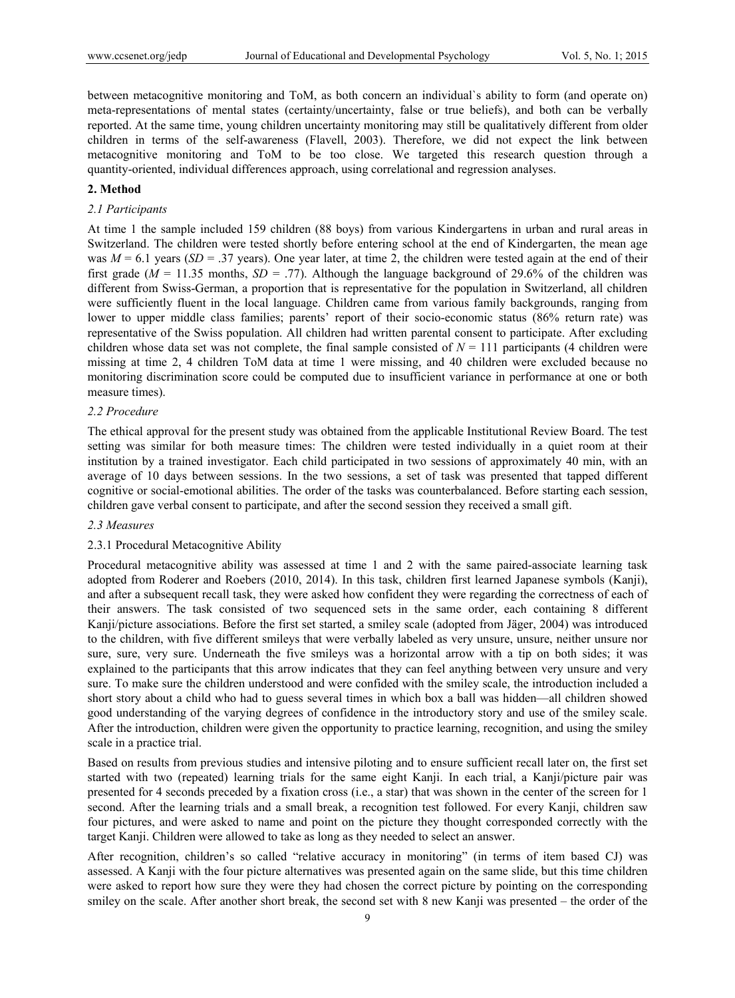between metacognitive monitoring and ToM, as both concern an individual`s ability to form (and operate on) meta-representations of mental states (certainty/uncertainty, false or true beliefs), and both can be verbally reported. At the same time, young children uncertainty monitoring may still be qualitatively different from older children in terms of the self-awareness (Flavell, 2003). Therefore, we did not expect the link between metacognitive monitoring and ToM to be too close. We targeted this research question through a quantity-oriented, individual differences approach, using correlational and regression analyses.

## **2. Method**

## *2.1 Participants*

At time 1 the sample included 159 children (88 boys) from various Kindergartens in urban and rural areas in Switzerland. The children were tested shortly before entering school at the end of Kindergarten, the mean age was  $M = 6.1$  years (*SD* = .37 years). One year later, at time 2, the children were tested again at the end of their first grade ( $M = 11.35$  months,  $SD = .77$ ). Although the language background of 29.6% of the children was different from Swiss-German, a proportion that is representative for the population in Switzerland, all children were sufficiently fluent in the local language. Children came from various family backgrounds, ranging from lower to upper middle class families; parents' report of their socio-economic status (86% return rate) was representative of the Swiss population. All children had written parental consent to participate. After excluding children whose data set was not complete, the final sample consisted of  $N = 111$  participants (4 children were missing at time 2, 4 children ToM data at time 1 were missing, and 40 children were excluded because no monitoring discrimination score could be computed due to insufficient variance in performance at one or both measure times).

#### *2.2 Procedure*

The ethical approval for the present study was obtained from the applicable Institutional Review Board. The test setting was similar for both measure times: The children were tested individually in a quiet room at their institution by a trained investigator. Each child participated in two sessions of approximately 40 min, with an average of 10 days between sessions. In the two sessions, a set of task was presented that tapped different cognitive or social-emotional abilities. The order of the tasks was counterbalanced. Before starting each session, children gave verbal consent to participate, and after the second session they received a small gift.

## *2.3 Measures*

## 2.3.1 Procedural Metacognitive Ability

Procedural metacognitive ability was assessed at time 1 and 2 with the same paired-associate learning task adopted from Roderer and Roebers (2010, 2014). In this task, children first learned Japanese symbols (Kanji), and after a subsequent recall task, they were asked how confident they were regarding the correctness of each of their answers. The task consisted of two sequenced sets in the same order, each containing 8 different Kanji/picture associations. Before the first set started, a smiley scale (adopted from Jäger, 2004) was introduced to the children, with five different smileys that were verbally labeled as very unsure, unsure, neither unsure nor sure, sure, very sure. Underneath the five smileys was a horizontal arrow with a tip on both sides; it was explained to the participants that this arrow indicates that they can feel anything between very unsure and very sure. To make sure the children understood and were confided with the smiley scale, the introduction included a short story about a child who had to guess several times in which box a ball was hidden—all children showed good understanding of the varying degrees of confidence in the introductory story and use of the smiley scale. After the introduction, children were given the opportunity to practice learning, recognition, and using the smiley scale in a practice trial.

Based on results from previous studies and intensive piloting and to ensure sufficient recall later on, the first set started with two (repeated) learning trials for the same eight Kanji. In each trial, a Kanji/picture pair was presented for 4 seconds preceded by a fixation cross (i.e., a star) that was shown in the center of the screen for 1 second. After the learning trials and a small break, a recognition test followed. For every Kanji, children saw four pictures, and were asked to name and point on the picture they thought corresponded correctly with the target Kanji. Children were allowed to take as long as they needed to select an answer.

After recognition, children's so called "relative accuracy in monitoring" (in terms of item based CJ) was assessed. A Kanji with the four picture alternatives was presented again on the same slide, but this time children were asked to report how sure they were they had chosen the correct picture by pointing on the corresponding smiley on the scale. After another short break, the second set with 8 new Kanji was presented – the order of the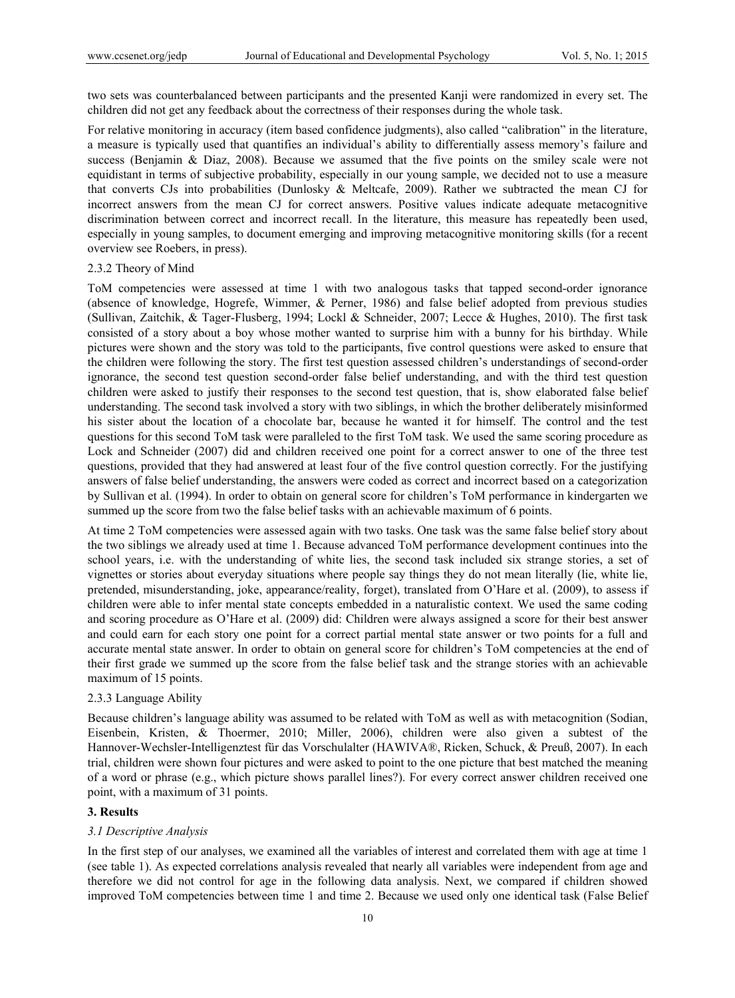two sets was counterbalanced between participants and the presented Kanji were randomized in every set. The children did not get any feedback about the correctness of their responses during the whole task.

For relative monitoring in accuracy (item based confidence judgments), also called "calibration" in the literature, a measure is typically used that quantifies an individual's ability to differentially assess memory's failure and success (Benjamin & Diaz, 2008). Because we assumed that the five points on the smiley scale were not equidistant in terms of subjective probability, especially in our young sample, we decided not to use a measure that converts CJs into probabilities (Dunlosky & Meltcafe, 2009). Rather we subtracted the mean CJ for incorrect answers from the mean CJ for correct answers. Positive values indicate adequate metacognitive discrimination between correct and incorrect recall. In the literature, this measure has repeatedly been used, especially in young samples, to document emerging and improving metacognitive monitoring skills (for a recent overview see Roebers, in press).

## 2.3.2 Theory of Mind

ToM competencies were assessed at time 1 with two analogous tasks that tapped second-order ignorance (absence of knowledge, Hogrefe, Wimmer, & Perner, 1986) and false belief adopted from previous studies (Sullivan, Zaitchik, & Tager-Flusberg, 1994; Lockl & Schneider, 2007; Lecce & Hughes, 2010). The first task consisted of a story about a boy whose mother wanted to surprise him with a bunny for his birthday. While pictures were shown and the story was told to the participants, five control questions were asked to ensure that the children were following the story. The first test question assessed children's understandings of second-order ignorance, the second test question second-order false belief understanding, and with the third test question children were asked to justify their responses to the second test question, that is, show elaborated false belief understanding. The second task involved a story with two siblings, in which the brother deliberately misinformed his sister about the location of a chocolate bar, because he wanted it for himself. The control and the test questions for this second ToM task were paralleled to the first ToM task. We used the same scoring procedure as Lock and Schneider (2007) did and children received one point for a correct answer to one of the three test questions, provided that they had answered at least four of the five control question correctly. For the justifying answers of false belief understanding, the answers were coded as correct and incorrect based on a categorization by Sullivan et al. (1994). In order to obtain on general score for children's ToM performance in kindergarten we summed up the score from two the false belief tasks with an achievable maximum of 6 points.

At time 2 ToM competencies were assessed again with two tasks. One task was the same false belief story about the two siblings we already used at time 1. Because advanced ToM performance development continues into the school years, i.e. with the understanding of white lies, the second task included six strange stories, a set of vignettes or stories about everyday situations where people say things they do not mean literally (lie, white lie, pretended, misunderstanding, joke, appearance/reality, forget), translated from O'Hare et al. (2009), to assess if children were able to infer mental state concepts embedded in a naturalistic context. We used the same coding and scoring procedure as O'Hare et al. (2009) did: Children were always assigned a score for their best answer and could earn for each story one point for a correct partial mental state answer or two points for a full and accurate mental state answer. In order to obtain on general score for children's ToM competencies at the end of their first grade we summed up the score from the false belief task and the strange stories with an achievable maximum of 15 points.

## 2.3.3 Language Ability

Because children's language ability was assumed to be related with ToM as well as with metacognition (Sodian, Eisenbein, Kristen, & Thoermer, 2010; Miller, 2006), children were also given a subtest of the Hannover-Wechsler-Intelligenztest für das Vorschulalter (HAWIVA®, Ricken, Schuck, & Preuß, 2007). In each trial, children were shown four pictures and were asked to point to the one picture that best matched the meaning of a word or phrase (e.g., which picture shows parallel lines?). For every correct answer children received one point, with a maximum of 31 points.

## **3. Results**

## *3.1 Descriptive Analysis*

In the first step of our analyses, we examined all the variables of interest and correlated them with age at time 1 (see table 1). As expected correlations analysis revealed that nearly all variables were independent from age and therefore we did not control for age in the following data analysis. Next, we compared if children showed improved ToM competencies between time 1 and time 2. Because we used only one identical task (False Belief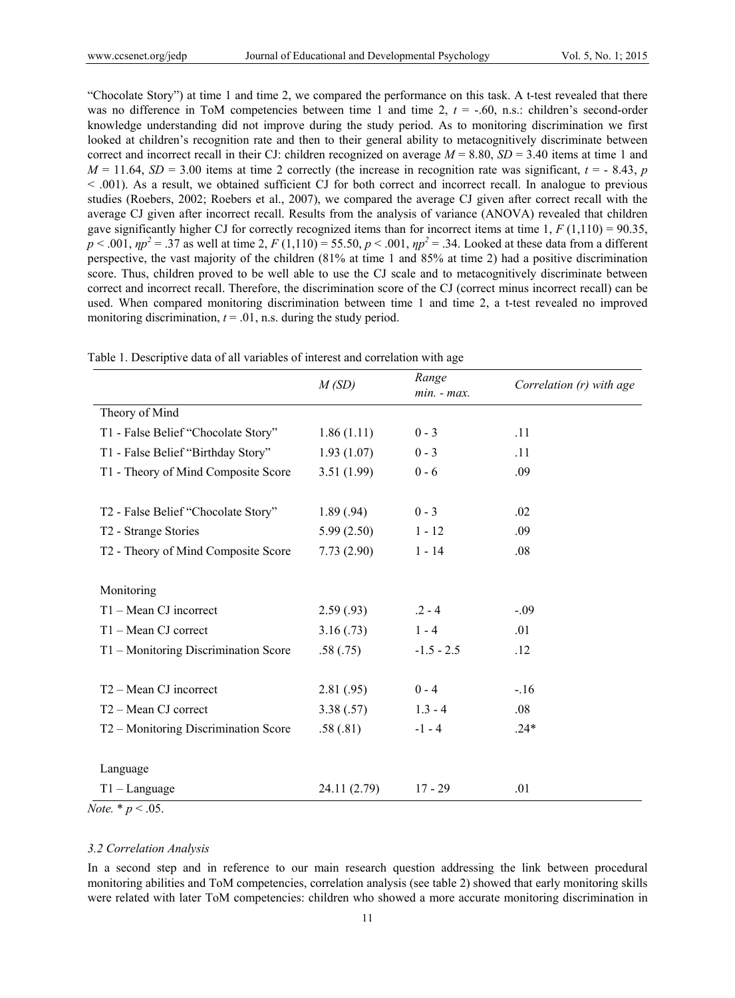"Chocolate Story") at time 1 and time 2, we compared the performance on this task. A t-test revealed that there was no difference in ToM competencies between time 1 and time 2,  $t = -0.60$ , n.s.: children's second-order knowledge understanding did not improve during the study period. As to monitoring discrimination we first looked at children's recognition rate and then to their general ability to metacognitively discriminate between correct and incorrect recall in their CJ: children recognized on average  $M = 8.80$ ,  $SD = 3.40$  items at time 1 and  $M = 11.64$ ,  $SD = 3.00$  items at time 2 correctly (the increase in recognition rate was significant,  $t = -8.43$ , *p* < .001). As a result, we obtained sufficient CJ for both correct and incorrect recall. In analogue to previous studies (Roebers, 2002; Roebers et al., 2007), we compared the average CJ given after correct recall with the average CJ given after incorrect recall. Results from the analysis of variance (ANOVA) revealed that children gave significantly higher CJ for correctly recognized items than for incorrect items at time  $1, F(1,110) = 90.35$ ,  $p < .001$ ,  $\eta p^2 = .37$  as well at time 2,  $F(1,110) = 55.50$ ,  $p < .001$ ,  $\eta p^2 = .34$ . Looked at these data from a different perspective, the vast majority of the children (81% at time 1 and 85% at time 2) had a positive discrimination score. Thus, children proved to be well able to use the CJ scale and to metacognitively discriminate between correct and incorrect recall. Therefore, the discrimination score of the CJ (correct minus incorrect recall) can be used. When compared monitoring discrimination between time 1 and time 2, a t-test revealed no improved monitoring discrimination,  $t = .01$ , n.s. during the study period.

|                                      | M(SD)        | Range<br>$min. - max.$ | Correlation (r) with age |
|--------------------------------------|--------------|------------------------|--------------------------|
| Theory of Mind                       |              |                        |                          |
| T1 - False Belief "Chocolate Story"  | 1.86(1.11)   | $0 - 3$                | .11                      |
| T1 - False Belief "Birthday Story"   | 1.93(1.07)   | $0 - 3$                | .11                      |
| T1 - Theory of Mind Composite Score  | 3.51(1.99)   | $0 - 6$                | .09                      |
|                                      |              |                        |                          |
| T2 - False Belief "Chocolate Story"  | 1.89(.94)    | $0 - 3$                | .02                      |
| T2 - Strange Stories                 | 5.99(2.50)   | $1 - 12$               | .09                      |
| T2 - Theory of Mind Composite Score  | 7.73(2.90)   | $1 - 14$               | .08                      |
|                                      |              |                        |                          |
| Monitoring                           |              |                        |                          |
| T1 - Mean CJ incorrect               | 2.59(.93)    | $.2 - 4$               | $-.09$                   |
| T1 - Mean CJ correct                 | 3.16(.73)    | $1 - 4$                | .01                      |
| T1 - Monitoring Discrimination Score | .58(.75)     | $-1.5 - 2.5$           | .12                      |
|                                      |              |                        |                          |
| T <sub>2</sub> – Mean CJ incorrect   | 2.81(.95)    | $0 - 4$                | $-16$                    |
| T <sub>2</sub> – Mean CJ correct     | 3.38(.57)    | $1.3 - 4$              | .08                      |
| T2 – Monitoring Discrimination Score | .58(.81)     | $-1 - 4$               | $.24*$                   |
|                                      |              |                        |                          |
| Language                             |              |                        |                          |
| $T1 - Language$                      | 24.11 (2.79) | $17 - 29$              | .01                      |

Table 1. Descriptive data of all variables of interest and correlation with age

*Note.*  $*$   $p < .05$ .

## *3.2 Correlation Analysis*

In a second step and in reference to our main research question addressing the link between procedural monitoring abilities and ToM competencies, correlation analysis (see table 2) showed that early monitoring skills were related with later ToM competencies: children who showed a more accurate monitoring discrimination in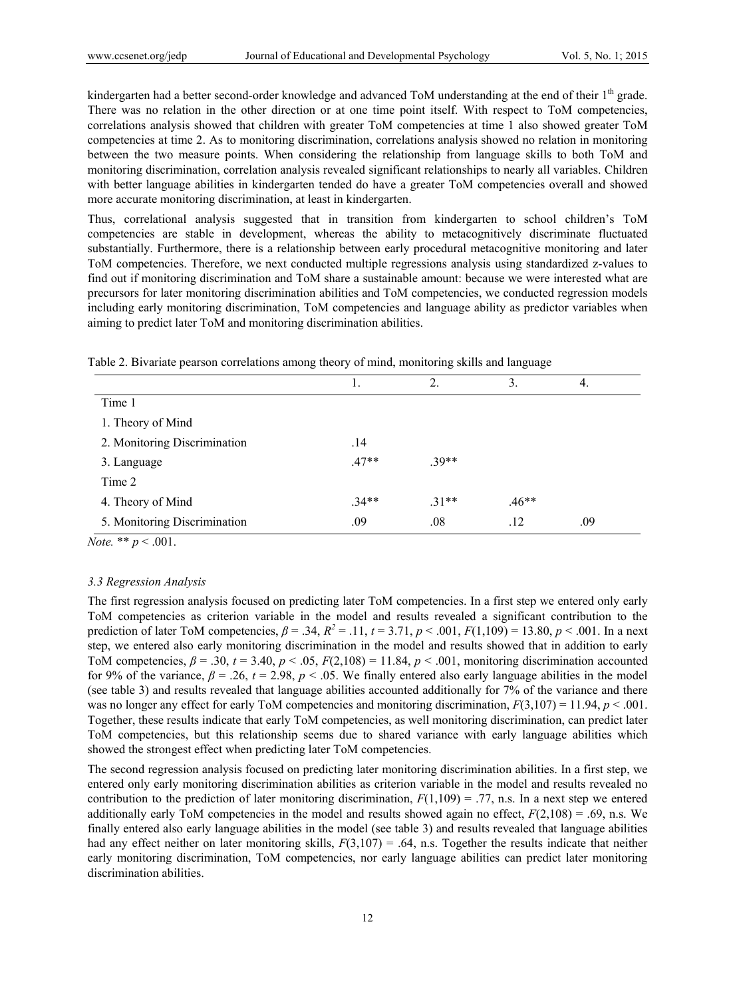kindergarten had a better second-order knowledge and advanced ToM understanding at the end of their 1<sup>th</sup> grade. There was no relation in the other direction or at one time point itself. With respect to ToM competencies, correlations analysis showed that children with greater ToM competencies at time 1 also showed greater ToM competencies at time 2. As to monitoring discrimination, correlations analysis showed no relation in monitoring between the two measure points. When considering the relationship from language skills to both ToM and monitoring discrimination, correlation analysis revealed significant relationships to nearly all variables. Children with better language abilities in kindergarten tended do have a greater ToM competencies overall and showed more accurate monitoring discrimination, at least in kindergarten.

Thus, correlational analysis suggested that in transition from kindergarten to school children's ToM competencies are stable in development, whereas the ability to metacognitively discriminate fluctuated substantially. Furthermore, there is a relationship between early procedural metacognitive monitoring and later ToM competencies. Therefore, we next conducted multiple regressions analysis using standardized z-values to find out if monitoring discrimination and ToM share a sustainable amount: because we were interested what are precursors for later monitoring discrimination abilities and ToM competencies, we conducted regression models including early monitoring discrimination, ToM competencies and language ability as predictor variables when aiming to predict later ToM and monitoring discrimination abilities.

|                              | 1.      | 2.     | 3.      | 4.  |
|------------------------------|---------|--------|---------|-----|
| Time 1                       |         |        |         |     |
| 1. Theory of Mind            |         |        |         |     |
| 2. Monitoring Discrimination | .14     |        |         |     |
| 3. Language                  | $.47**$ | $39**$ |         |     |
| Time 2                       |         |        |         |     |
| 4. Theory of Mind            | $.34**$ | $31**$ | $.46**$ |     |
| 5. Monitoring Discrimination | .09     | .08    | .12     | .09 |

Table 2. Bivariate pearson correlations among theory of mind, monitoring skills and language

*Note.* \*\* *p* < .001.

## *3.3 Regression Analysis*

The first regression analysis focused on predicting later ToM competencies. In a first step we entered only early ToM competencies as criterion variable in the model and results revealed a significant contribution to the prediction of later ToM competencies,  $\beta = .34$ ,  $R^2 = .11$ ,  $t = 3.71$ ,  $p < .001$ ,  $F(1,109) = 13.80$ ,  $p < .001$ . In a next step, we entered also early monitoring discrimination in the model and results showed that in addition to early ToM competencies,  $\beta = .30$ ,  $t = 3.40$ ,  $p < .05$ ,  $F(2,108) = 11.84$ ,  $p < .001$ , monitoring discrimination accounted for 9% of the variance,  $\beta = 0.26$ ,  $t = 2.98$ ,  $p < 0.05$ . We finally entered also early language abilities in the model (see table 3) and results revealed that language abilities accounted additionally for 7% of the variance and there was no longer any effect for early ToM competencies and monitoring discrimination,  $F(3,107) = 11.94$ ,  $p < .001$ . Together, these results indicate that early ToM competencies, as well monitoring discrimination, can predict later ToM competencies, but this relationship seems due to shared variance with early language abilities which showed the strongest effect when predicting later ToM competencies.

The second regression analysis focused on predicting later monitoring discrimination abilities. In a first step, we entered only early monitoring discrimination abilities as criterion variable in the model and results revealed no contribution to the prediction of later monitoring discrimination,  $F(1,109) = .77$ , n.s. In a next step we entered additionally early ToM competencies in the model and results showed again no effect,  $F(2,108) = .69$ , n.s. We finally entered also early language abilities in the model (see table 3) and results revealed that language abilities had any effect neither on later monitoring skills,  $F(3,107) = .64$ , n.s. Together the results indicate that neither early monitoring discrimination, ToM competencies, nor early language abilities can predict later monitoring discrimination abilities.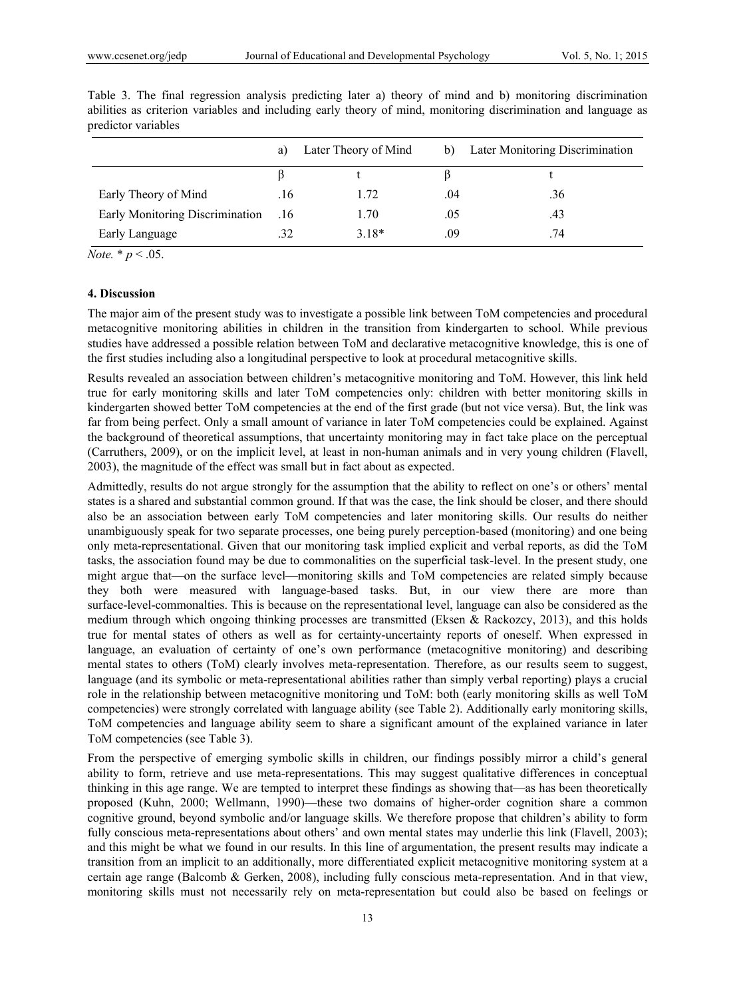|                                 | a)  | Later Theory of Mind | b)  | Later Monitoring Discrimination |
|---------------------------------|-----|----------------------|-----|---------------------------------|
|                                 |     |                      |     |                                 |
| Early Theory of Mind            | .16 | 1.72                 | .04 | .36                             |
| Early Monitoring Discrimination | .16 | 1.70                 | .05 | .43                             |
| Early Language                  | .32 | $3.18*$              | .09 | 74                              |

Table 3. The final regression analysis predicting later a) theory of mind and b) monitoring discrimination abilities as criterion variables and including early theory of mind, monitoring discrimination and language as predictor variables

*Note.*  $* p < .05$ .

## **4. Discussion**

The major aim of the present study was to investigate a possible link between ToM competencies and procedural metacognitive monitoring abilities in children in the transition from kindergarten to school. While previous studies have addressed a possible relation between ToM and declarative metacognitive knowledge, this is one of the first studies including also a longitudinal perspective to look at procedural metacognitive skills.

Results revealed an association between children's metacognitive monitoring and ToM. However, this link held true for early monitoring skills and later ToM competencies only: children with better monitoring skills in kindergarten showed better ToM competencies at the end of the first grade (but not vice versa). But, the link was far from being perfect. Only a small amount of variance in later ToM competencies could be explained. Against the background of theoretical assumptions, that uncertainty monitoring may in fact take place on the perceptual (Carruthers, 2009), or on the implicit level, at least in non-human animals and in very young children (Flavell, 2003), the magnitude of the effect was small but in fact about as expected.

Admittedly, results do not argue strongly for the assumption that the ability to reflect on one's or others' mental states is a shared and substantial common ground. If that was the case, the link should be closer, and there should also be an association between early ToM competencies and later monitoring skills. Our results do neither unambiguously speak for two separate processes, one being purely perception-based (monitoring) and one being only meta-representational. Given that our monitoring task implied explicit and verbal reports, as did the ToM tasks, the association found may be due to commonalities on the superficial task-level. In the present study, one might argue that—on the surface level—monitoring skills and ToM competencies are related simply because they both were measured with language-based tasks. But, in our view there are more than surface-level-commonalties. This is because on the representational level, language can also be considered as the medium through which ongoing thinking processes are transmitted (Eksen & Rackozcy, 2013), and this holds true for mental states of others as well as for certainty-uncertainty reports of oneself. When expressed in language, an evaluation of certainty of one's own performance (metacognitive monitoring) and describing mental states to others (ToM) clearly involves meta-representation. Therefore, as our results seem to suggest, language (and its symbolic or meta-representational abilities rather than simply verbal reporting) plays a crucial role in the relationship between metacognitive monitoring und ToM: both (early monitoring skills as well ToM competencies) were strongly correlated with language ability (see Table 2). Additionally early monitoring skills, ToM competencies and language ability seem to share a significant amount of the explained variance in later ToM competencies (see Table 3).

From the perspective of emerging symbolic skills in children, our findings possibly mirror a child's general ability to form, retrieve and use meta-representations. This may suggest qualitative differences in conceptual thinking in this age range. We are tempted to interpret these findings as showing that—as has been theoretically proposed (Kuhn, 2000; Wellmann, 1990)—these two domains of higher-order cognition share a common cognitive ground, beyond symbolic and/or language skills. We therefore propose that children's ability to form fully conscious meta-representations about others' and own mental states may underlie this link (Flavell, 2003); and this might be what we found in our results. In this line of argumentation, the present results may indicate a transition from an implicit to an additionally, more differentiated explicit metacognitive monitoring system at a certain age range (Balcomb & Gerken, 2008), including fully conscious meta-representation. And in that view, monitoring skills must not necessarily rely on meta-representation but could also be based on feelings or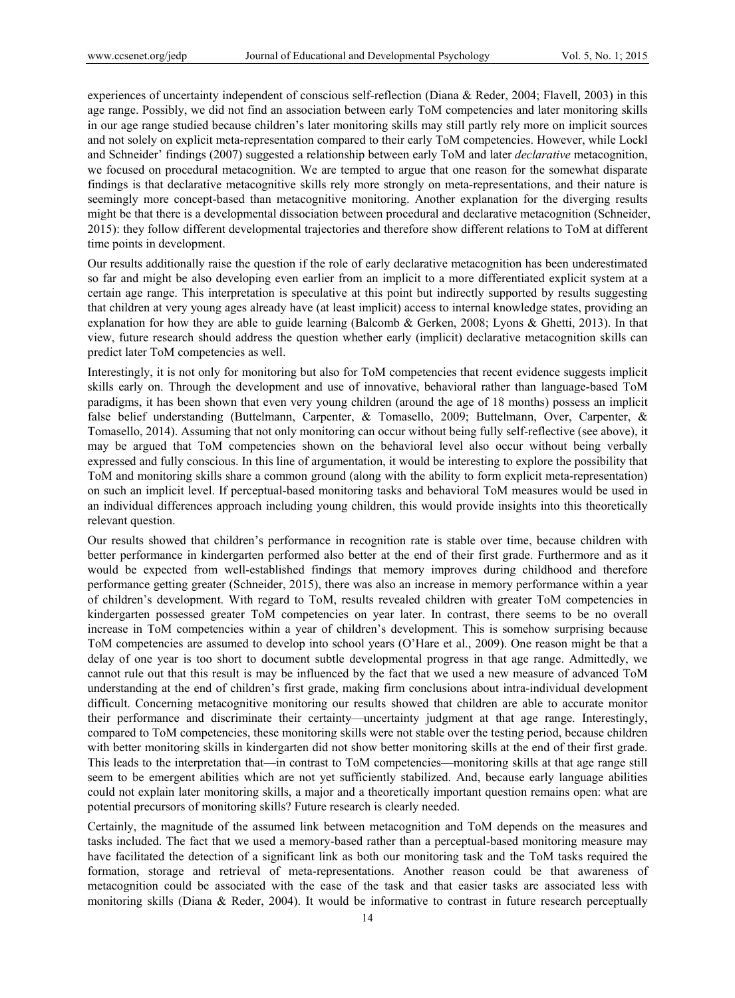experiences of uncertainty independent of conscious self-reflection (Diana & Reder, 2004; Flavell, 2003) in this age range. Possibly, we did not find an association between early ToM competencies and later monitoring skills in our age range studied because children's later monitoring skills may still partly rely more on implicit sources and not solely on explicit meta-representation compared to their early ToM competencies. However, while Lockl and Schneider' findings (2007) suggested a relationship between early ToM and later *declarative* metacognition, we focused on procedural metacognition. We are tempted to argue that one reason for the somewhat disparate findings is that declarative metacognitive skills rely more strongly on meta-representations, and their nature is seemingly more concept-based than metacognitive monitoring. Another explanation for the diverging results might be that there is a developmental dissociation between procedural and declarative metacognition (Schneider, 2015): they follow different developmental trajectories and therefore show different relations to ToM at different time points in development.

Our results additionally raise the question if the role of early declarative metacognition has been underestimated so far and might be also developing even earlier from an implicit to a more differentiated explicit system at a certain age range. This interpretation is speculative at this point but indirectly supported by results suggesting that children at very young ages already have (at least implicit) access to internal knowledge states, providing an explanation for how they are able to guide learning (Balcomb & Gerken, 2008; Lyons & Ghetti, 2013). In that view, future research should address the question whether early (implicit) declarative metacognition skills can predict later ToM competencies as well.

Interestingly, it is not only for monitoring but also for ToM competencies that recent evidence suggests implicit skills early on. Through the development and use of innovative, behavioral rather than language-based ToM paradigms, it has been shown that even very young children (around the age of 18 months) possess an implicit false belief understanding (Buttelmann, Carpenter, & Tomasello, 2009; Buttelmann, Over, Carpenter, & Tomasello, 2014). Assuming that not only monitoring can occur without being fully self-reflective (see above), it may be argued that ToM competencies shown on the behavioral level also occur without being verbally expressed and fully conscious. In this line of argumentation, it would be interesting to explore the possibility that ToM and monitoring skills share a common ground (along with the ability to form explicit meta-representation) on such an implicit level. If perceptual-based monitoring tasks and behavioral ToM measures would be used in an individual differences approach including young children, this would provide insights into this theoretically relevant question.

Our results showed that children's performance in recognition rate is stable over time, because children with better performance in kindergarten performed also better at the end of their first grade. Furthermore and as it would be expected from well-established findings that memory improves during childhood and therefore performance getting greater (Schneider, 2015), there was also an increase in memory performance within a year of children's development. With regard to ToM, results revealed children with greater ToM competencies in kindergarten possessed greater ToM competencies on year later. In contrast, there seems to be no overall increase in ToM competencies within a year of children's development. This is somehow surprising because ToM competencies are assumed to develop into school years (O'Hare et al., 2009). One reason might be that a delay of one year is too short to document subtle developmental progress in that age range. Admittedly, we cannot rule out that this result is may be influenced by the fact that we used a new measure of advanced ToM understanding at the end of children's first grade, making firm conclusions about intra-individual development difficult. Concerning metacognitive monitoring our results showed that children are able to accurate monitor their performance and discriminate their certainty—uncertainty judgment at that age range. Interestingly, compared to ToM competencies, these monitoring skills were not stable over the testing period, because children with better monitoring skills in kindergarten did not show better monitoring skills at the end of their first grade. This leads to the interpretation that—in contrast to ToM competencies—monitoring skills at that age range still seem to be emergent abilities which are not yet sufficiently stabilized. And, because early language abilities could not explain later monitoring skills, a major and a theoretically important question remains open: what are potential precursors of monitoring skills? Future research is clearly needed.

Certainly, the magnitude of the assumed link between metacognition and ToM depends on the measures and tasks included. The fact that we used a memory-based rather than a perceptual-based monitoring measure may have facilitated the detection of a significant link as both our monitoring task and the ToM tasks required the formation, storage and retrieval of meta-representations. Another reason could be that awareness of metacognition could be associated with the ease of the task and that easier tasks are associated less with monitoring skills (Diana & Reder, 2004). It would be informative to contrast in future research perceptually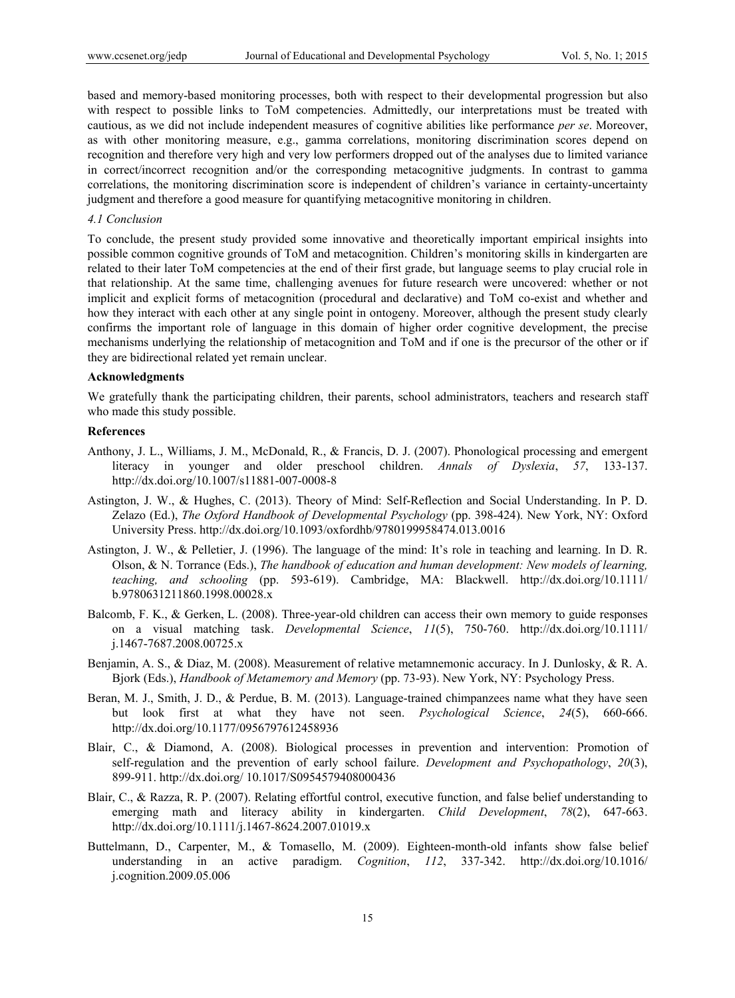based and memory-based monitoring processes, both with respect to their developmental progression but also with respect to possible links to ToM competencies. Admittedly, our interpretations must be treated with cautious, as we did not include independent measures of cognitive abilities like performance *per se*. Moreover, as with other monitoring measure, e.g., gamma correlations, monitoring discrimination scores depend on recognition and therefore very high and very low performers dropped out of the analyses due to limited variance in correct/incorrect recognition and/or the corresponding metacognitive judgments. In contrast to gamma correlations, the monitoring discrimination score is independent of children's variance in certainty-uncertainty judgment and therefore a good measure for quantifying metacognitive monitoring in children.

## *4.1 Conclusion*

To conclude, the present study provided some innovative and theoretically important empirical insights into possible common cognitive grounds of ToM and metacognition. Children's monitoring skills in kindergarten are related to their later ToM competencies at the end of their first grade, but language seems to play crucial role in that relationship. At the same time, challenging avenues for future research were uncovered: whether or not implicit and explicit forms of metacognition (procedural and declarative) and ToM co-exist and whether and how they interact with each other at any single point in ontogeny. Moreover, although the present study clearly confirms the important role of language in this domain of higher order cognitive development, the precise mechanisms underlying the relationship of metacognition and ToM and if one is the precursor of the other or if they are bidirectional related yet remain unclear.

## **Acknowledgments**

We gratefully thank the participating children, their parents, school administrators, teachers and research staff who made this study possible.

#### **References**

- Anthony, J. L., Williams, J. M., McDonald, R., & Francis, D. J. (2007). Phonological processing and emergent literacy in younger and older preschool children. *Annals of Dyslexia*, *57*, 133-137. http://dx.doi.org/10.1007/s11881-007-0008-8
- Astington, J. W., & Hughes, C. (2013). Theory of Mind: Self-Reflection and Social Understanding. In P. D. Zelazo (Ed.), *The Oxford Handbook of Developmental Psychology* (pp. 398-424). New York, NY: Oxford University Press. http://dx.doi.org/10.1093/oxfordhb/9780199958474.013.0016
- Astington, J. W., & Pelletier, J. (1996). The language of the mind: It's role in teaching and learning. In D. R. Olson, & N. Torrance (Eds.), *The handbook of education and human development: New models of learning, teaching, and schooling* (pp. 593-619). Cambridge, MA: Blackwell. http://dx.doi.org/10.1111/ b.9780631211860.1998.00028.x
- Balcomb, F. K., & Gerken, L. (2008). Three-year-old children can access their own memory to guide responses on a visual matching task. *Developmental Science*, *11*(5), 750-760. http://dx.doi.org/10.1111/ j.1467-7687.2008.00725.x
- Benjamin, A. S., & Diaz, M. (2008). Measurement of relative metamnemonic accuracy. In J. Dunlosky, & R. A. Bjork (Eds.), *Handbook of Metamemory and Memory* (pp. 73-93). New York, NY: Psychology Press.
- Beran, M. J., Smith, J. D., & Perdue, B. M. (2013). Language-trained chimpanzees name what they have seen but look first at what they have not seen. *Psychological Science*, *24*(5), 660-666. http://dx.doi.org/10.1177/0956797612458936
- Blair, C., & Diamond, A. (2008). Biological processes in prevention and intervention: Promotion of self-regulation and the prevention of early school failure. *Development and Psychopathology*, *20*(3), 899-911. http://dx.doi.org/ 10.1017/S0954579408000436
- Blair, C., & Razza, R. P. (2007). Relating effortful control, executive function, and false belief understanding to emerging math and literacy ability in kindergarten. *Child Development*, *78*(2), 647-663. http://dx.doi.org/10.1111/j.1467-8624.2007.01019.x
- Buttelmann, D., Carpenter, M., & Tomasello, M. (2009). Eighteen-month-old infants show false belief understanding in an active paradigm. *Cognition*, *112*, 337-342. http://dx.doi.org/10.1016/ j.cognition.2009.05.006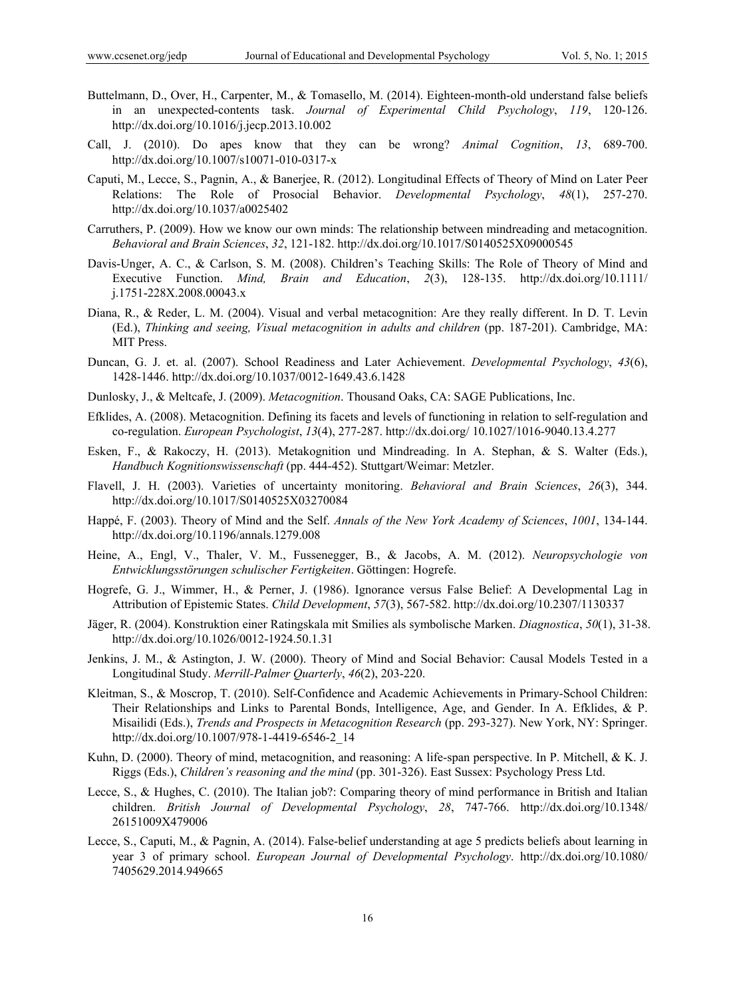- Buttelmann, D., Over, H., Carpenter, M., & Tomasello, M. (2014). Eighteen-month-old understand false beliefs in an unexpected-contents task. *Journal of Experimental Child Psychology*, *119*, 120-126. http://dx.doi.org/10.1016/j.jecp.2013.10.002
- Call, J. (2010). Do apes know that they can be wrong? *Animal Cognition*, *13*, 689-700. http://dx.doi.org/10.1007/s10071-010-0317-x
- Caputi, M., Lecce, S., Pagnin, A., & Banerjee, R. (2012). Longitudinal Effects of Theory of Mind on Later Peer Relations: The Role of Prosocial Behavior. *Developmental Psychology*, *48*(1), 257-270. http://dx.doi.org/10.1037/a0025402
- Carruthers, P. (2009). How we know our own minds: The relationship between mindreading and metacognition. *Behavioral and Brain Sciences*, *32*, 121-182. http://dx.doi.org/10.1017/S0140525X09000545
- Davis-Unger, A. C., & Carlson, S. M. (2008). Children's Teaching Skills: The Role of Theory of Mind and Executive Function. *Mind, Brain and Education*, *2*(3), 128-135. http://dx.doi.org/10.1111/ j.1751-228X.2008.00043.x
- Diana, R., & Reder, L. M. (2004). Visual and verbal metacognition: Are they really different. In D. T. Levin (Ed.), *Thinking and seeing, Visual metacognition in adults and children* (pp. 187-201). Cambridge, MA: MIT Press.
- Duncan, G. J. et. al. (2007). School Readiness and Later Achievement. *Developmental Psychology*, *43*(6), 1428-1446. http://dx.doi.org/10.1037/0012-1649.43.6.1428
- Dunlosky, J., & Meltcafe, J. (2009). *Metacognition*. Thousand Oaks, CA: SAGE Publications, Inc.
- Efklides, A. (2008). Metacognition. Defining its facets and levels of functioning in relation to self-regulation and co-regulation. *European Psychologist*, *13*(4), 277-287. http://dx.doi.org/ 10.1027/1016-9040.13.4.277
- Esken, F., & Rakoczy, H. (2013). Metakognition und Mindreading. In A. Stephan, & S. Walter (Eds.), *Handbuch Kognitionswissenschaft* (pp. 444-452). Stuttgart/Weimar: Metzler.
- Flavell, J. H. (2003). Varieties of uncertainty monitoring. *Behavioral and Brain Sciences*, *26*(3), 344. http://dx.doi.org/10.1017/S0140525X03270084
- Happé, F. (2003). Theory of Mind and the Self. *Annals of the New York Academy of Sciences*, *1001*, 134-144. http://dx.doi.org/10.1196/annals.1279.008
- Heine, A., Engl, V., Thaler, V. M., Fussenegger, B., & Jacobs, A. M. (2012). *Neuropsychologie von Entwicklungsstörungen schulischer Fertigkeiten*. Göttingen: Hogrefe.
- Hogrefe, G. J., Wimmer, H., & Perner, J. (1986). Ignorance versus False Belief: A Developmental Lag in Attribution of Epistemic States. *Child Development*, *57*(3), 567-582. http://dx.doi.org/10.2307/1130337
- Jäger, R. (2004). Konstruktion einer Ratingskala mit Smilies als symbolische Marken. *Diagnostica*, *50*(1), 31-38. http://dx.doi.org/10.1026/0012-1924.50.1.31
- Jenkins, J. M., & Astington, J. W. (2000). Theory of Mind and Social Behavior: Causal Models Tested in a Longitudinal Study. *Merrill-Palmer Quarterly*, *46*(2), 203-220.
- Kleitman, S., & Moscrop, T. (2010). Self-Confidence and Academic Achievements in Primary-School Children: Their Relationships and Links to Parental Bonds, Intelligence, Age, and Gender. In A. Efklides, & P. Misailidi (Eds.), *Trends and Prospects in Metacognition Research* (pp. 293-327). New York, NY: Springer. http://dx.doi.org/10.1007/978-1-4419-6546-2\_14
- Kuhn, D. (2000). Theory of mind, metacognition, and reasoning: A life-span perspective. In P. Mitchell, & K. J. Riggs (Eds.), *Children's reasoning and the mind* (pp. 301-326). East Sussex: Psychology Press Ltd.
- Lecce, S., & Hughes, C. (2010). The Italian job?: Comparing theory of mind performance in British and Italian children. *British Journal of Developmental Psychology*, *28*, 747-766. http://dx.doi.org/10.1348/ 26151009X479006
- Lecce, S., Caputi, M., & Pagnin, A. (2014). False-belief understanding at age 5 predicts beliefs about learning in year 3 of primary school. *European Journal of Developmental Psychology*. http://dx.doi.org/10.1080/ 7405629.2014.949665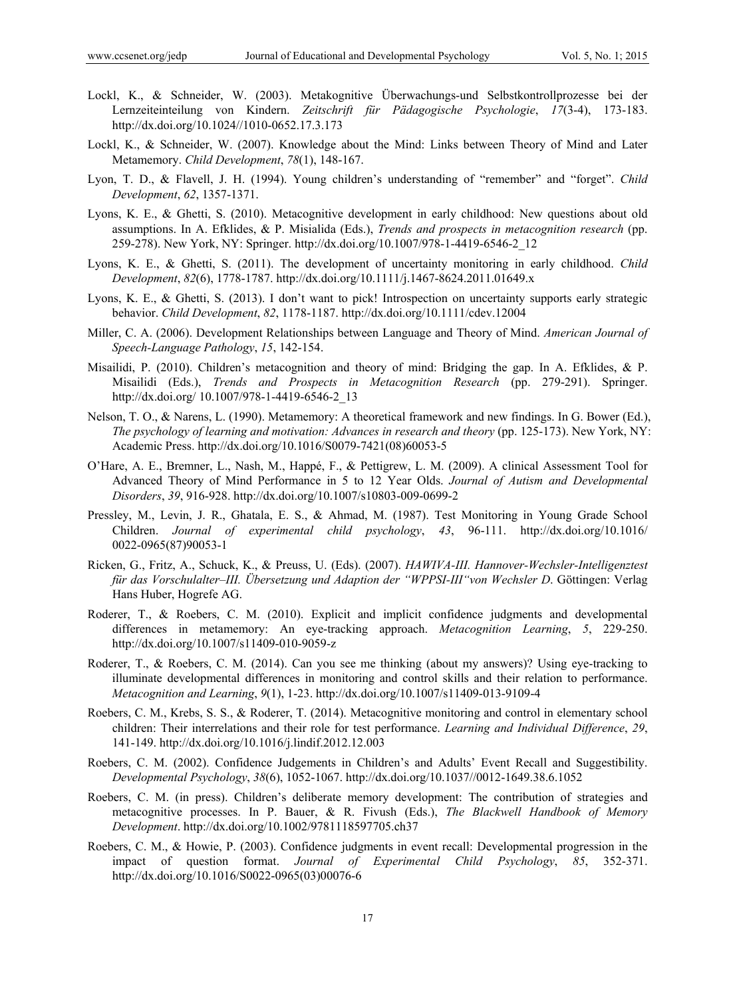- Lockl, K., & Schneider, W. (2003). Metakognitive Überwachungs-und Selbstkontrollprozesse bei der Lernzeiteinteilung von Kindern. *Zeitschrift für Pädagogische Psychologie*, *17*(3-4), 173-183. http://dx.doi.org/10.1024//1010-0652.17.3.173
- Lockl, K., & Schneider, W. (2007). Knowledge about the Mind: Links between Theory of Mind and Later Metamemory. *Child Development*, *78*(1), 148-167.
- Lyon, T. D., & Flavell, J. H. (1994). Young children's understanding of "remember" and "forget". *Child Development*, *62*, 1357-1371.
- Lyons, K. E., & Ghetti, S. (2010). Metacognitive development in early childhood: New questions about old assumptions. In A. Efklides, & P. Misialida (Eds.), *Trends and prospects in metacognition research* (pp. 259-278). New York, NY: Springer. http://dx.doi.org/10.1007/978-1-4419-6546-2\_12
- Lyons, K. E., & Ghetti, S. (2011). The development of uncertainty monitoring in early childhood. *Child Development*, *82*(6), 1778-1787. http://dx.doi.org/10.1111/j.1467-8624.2011.01649.x
- Lyons, K. E., & Ghetti, S. (2013). I don't want to pick! Introspection on uncertainty supports early strategic behavior. *Child Development*, *82*, 1178-1187. http://dx.doi.org/10.1111/cdev.12004
- Miller, C. A. (2006). Development Relationships between Language and Theory of Mind. *American Journal of Speech-Language Pathology*, *15*, 142-154.
- Misailidi, P. (2010). Children's metacognition and theory of mind: Bridging the gap. In A. Efklides, & P. Misailidi (Eds.), *Trends and Prospects in Metacognition Research* (pp. 279-291). Springer. http://dx.doi.org/ 10.1007/978-1-4419-6546-2\_13
- Nelson, T. O., & Narens, L. (1990). Metamemory: A theoretical framework and new findings. In G. Bower (Ed.), *The psychology of learning and motivation: Advances in research and theory* (pp. 125-173). New York, NY: Academic Press. http://dx.doi.org/10.1016/S0079-7421(08)60053-5
- O'Hare, A. E., Bremner, L., Nash, M., Happé, F., & Pettigrew, L. M. (2009). A clinical Assessment Tool for Advanced Theory of Mind Performance in 5 to 12 Year Olds. *Journal of Autism and Developmental Disorders*, *39*, 916-928. http://dx.doi.org/10.1007/s10803-009-0699-2
- Pressley, M., Levin, J. R., Ghatala, E. S., & Ahmad, M. (1987). Test Monitoring in Young Grade School Children. *Journal of experimental child psychology*, *43*, 96-111. http://dx.doi.org/10.1016/ 0022-0965(87)90053-1
- Ricken, G., Fritz, A., Schuck, K., & Preuss, U. (Eds). (2007). *HAWIVA-III. Hannover-Wechsler-Intelligenztest für das Vorschulalter–III. Übersetzung und Adaption der "WPPSI-III"von Wechsler D*. Göttingen: Verlag Hans Huber, Hogrefe AG.
- Roderer, T., & Roebers, C. M. (2010). Explicit and implicit confidence judgments and developmental differences in metamemory: An eye-tracking approach. *Metacognition Learning*, *5*, 229-250. http://dx.doi.org/10.1007/s11409-010-9059-z
- Roderer, T., & Roebers, C. M. (2014). Can you see me thinking (about my answers)? Using eye-tracking to illuminate developmental differences in monitoring and control skills and their relation to performance. *Metacognition and Learning*, *9*(1), 1-23. http://dx.doi.org/10.1007/s11409-013-9109-4
- Roebers, C. M., Krebs, S. S., & Roderer, T. (2014). Metacognitive monitoring and control in elementary school children: Their interrelations and their role for test performance. *Learning and Individual Difference*, *29*, 141-149. http://dx.doi.org/10.1016/j.lindif.2012.12.003
- Roebers, C. M. (2002). Confidence Judgements in Children's and Adults' Event Recall and Suggestibility. *Developmental Psychology*, *38*(6), 1052-1067. http://dx.doi.org/10.1037//0012-1649.38.6.1052
- Roebers, C. M. (in press). Children's deliberate memory development: The contribution of strategies and metacognitive processes. In P. Bauer, & R. Fivush (Eds.), *The Blackwell Handbook of Memory Development*. http://dx.doi.org/10.1002/9781118597705.ch37
- Roebers, C. M., & Howie, P. (2003). Confidence judgments in event recall: Developmental progression in the impact of question format. *Journal of Experimental Child Psychology*, *85*, 352-371. http://dx.doi.org/10.1016/S0022-0965(03)00076-6